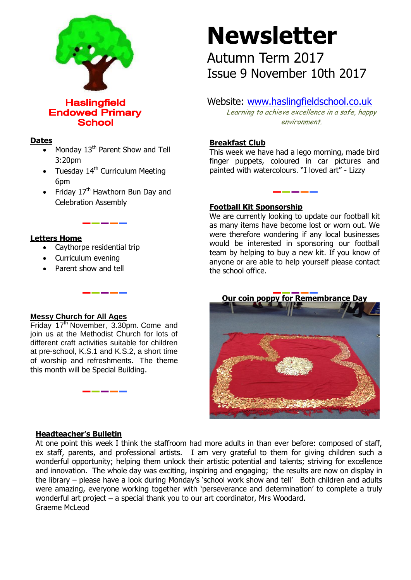

**Haslingfield Endowed Primary School** 

### **Dates**

- $\bullet$  Monday 13<sup>th</sup> Parent Show and Tell 3:20pm
- Tuesday 14<sup>th</sup> Curriculum Meeting 6pm
- Friday  $17<sup>th</sup>$  Hawthorn Bun Day and Celebration Assembly

## **Letters Home**

- Caythorpe residential trip
- Curriculum evening
- Parent show and tell

## **Messy Church for All Ages**

Friday 17<sup>th</sup> November, 3.30pm. Come and join us at the Methodist Church for lots of different craft activities suitable for children at pre-school, K.S.1 and K.S.2, a short time of worship and refreshments. The theme this month will be Special Building.

## **Headteacher's Bulletin**

At one point this week I think the staffroom had more adults in than ever before: composed of staff, ex staff, parents, and professional artists. I am very grateful to them for giving children such a wonderful opportunity; helping them unlock their artistic potential and talents; striving for excellence and innovation. The whole day was exciting, inspiring and engaging; the results are now on display in the library – please have a look during Monday's 'school work show and tell' Both children and adults were amazing, everyone working together with 'perseverance and determination' to complete a truly wonderful art project – a special thank you to our art coordinator, Mrs Woodard. Graeme McLeod

# **Newsletter**

Autumn Term 2017 Issue 9 November 10th 2017

# Website: [www.haslingfieldschool.co.uk](http://www.haslingfieldschool.co.uk/)

Learning to achieve excellence in a safe, happy environment.

## **Breakfast Club**

This week we have had a lego morning, made bird finger puppets, coloured in car pictures and painted with watercolours. "I loved art" - Lizzy

### **Football Kit Sponsorship**

We are currently looking to update our football kit as many items have become lost or worn out. We were therefore wondering if any local businesses would be interested in sponsoring our football team by helping to buy a new kit. If you know of anyone or are able to help yourself please contact the school office.